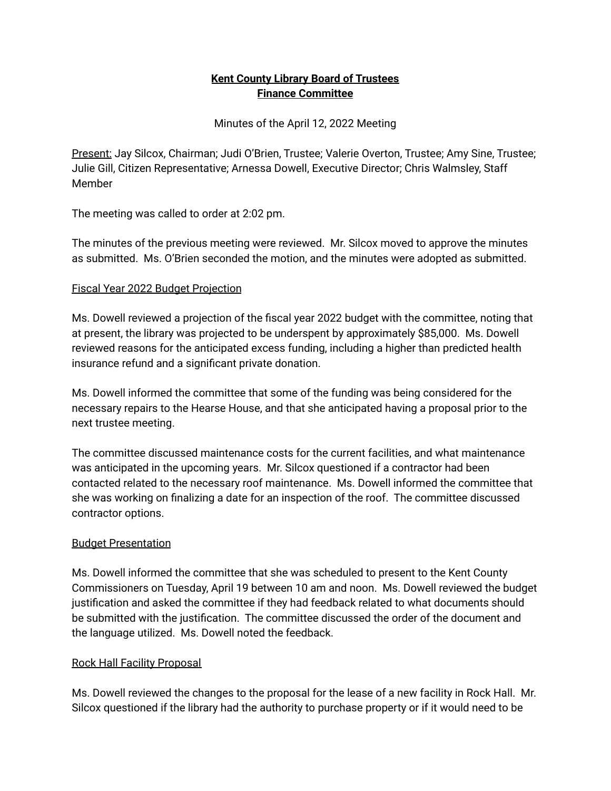## **Kent County Library Board of Trustees Finance Committee**

Minutes of the April 12, 2022 Meeting

Present: Jay Silcox, Chairman; Judi O'Brien, Trustee; Valerie Overton, Trustee; Amy Sine, Trustee; Julie Gill, Citizen Representative; Arnessa Dowell, Executive Director; Chris Walmsley, Staff Member

The meeting was called to order at 2:02 pm.

The minutes of the previous meeting were reviewed. Mr. Silcox moved to approve the minutes as submitted. Ms. O'Brien seconded the motion, and the minutes were adopted as submitted.

### Fiscal Year 2022 Budget Projection

Ms. Dowell reviewed a projection of the fiscal year 2022 budget with the committee, noting that at present, the library was projected to be underspent by approximately \$85,000. Ms. Dowell reviewed reasons for the anticipated excess funding, including a higher than predicted health insurance refund and a significant private donation.

Ms. Dowell informed the committee that some of the funding was being considered for the necessary repairs to the Hearse House, and that she anticipated having a proposal prior to the next trustee meeting.

The committee discussed maintenance costs for the current facilities, and what maintenance was anticipated in the upcoming years. Mr. Silcox questioned if a contractor had been contacted related to the necessary roof maintenance. Ms. Dowell informed the committee that she was working on finalizing a date for an inspection of the roof. The committee discussed contractor options.

### Budget Presentation

Ms. Dowell informed the committee that she was scheduled to present to the Kent County Commissioners on Tuesday, April 19 between 10 am and noon. Ms. Dowell reviewed the budget justification and asked the committee if they had feedback related to what documents should be submitted with the justification. The committee discussed the order of the document and the language utilized. Ms. Dowell noted the feedback.

# Rock Hall Facility Proposal

Ms. Dowell reviewed the changes to the proposal for the lease of a new facility in Rock Hall. Mr. Silcox questioned if the library had the authority to purchase property or if it would need to be